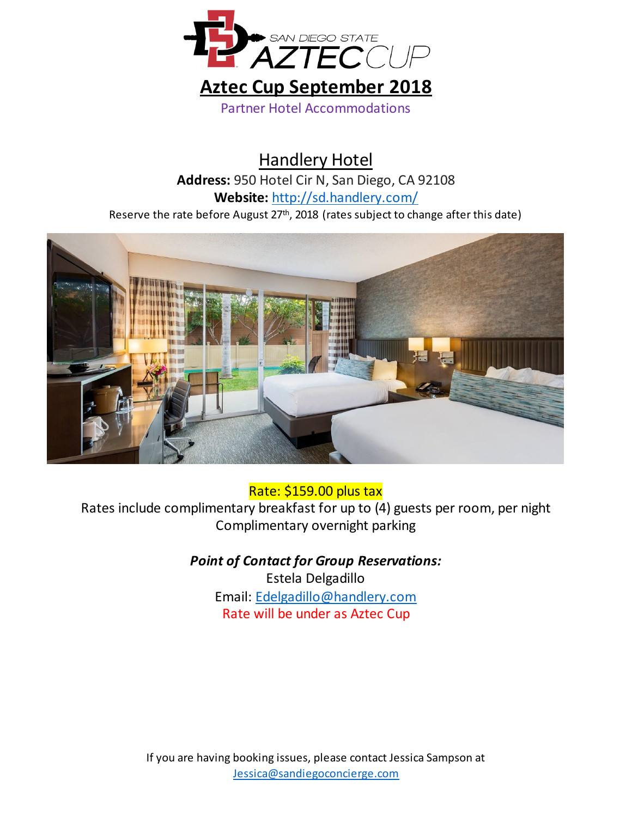

Handlery Hotel **Address:** 950 Hotel Cir N, San Diego, CA 92108 **Website:** <http://sd.handlery.com/> Reserve the rate before August 27<sup>th</sup>, 2018 (rates subject to change after this date)



### Rate: \$159.00 plus tax

Rates include complimentary breakfast for up to (4) guests per room, per night Complimentary overnight parking

#### *Point of Contact for Group Reservations:*

Estela Delgadillo Email: [Edelgadillo@handlery.com](mailto:Edelgadillo@handlery.com) Rate will be under as Aztec Cup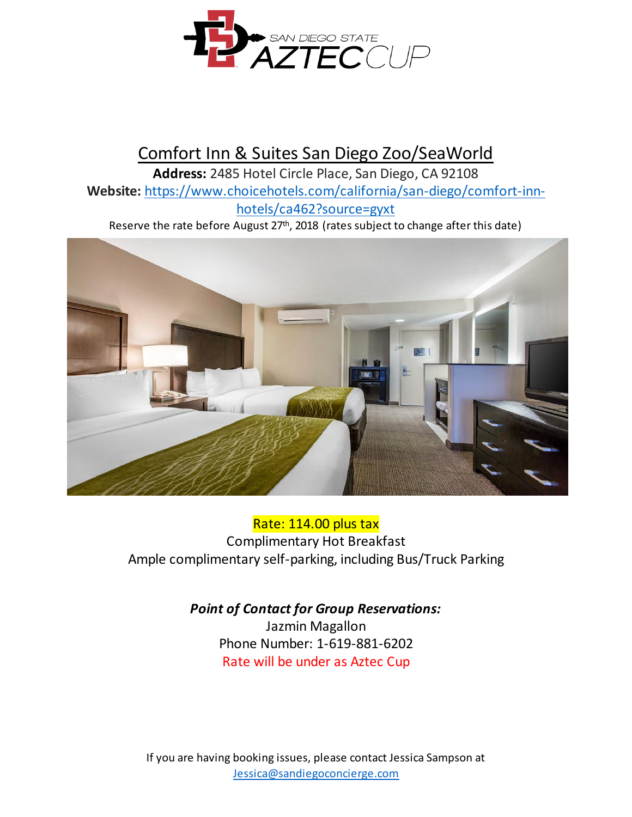

# Comfort Inn & Suites San Diego Zoo/SeaWorld

**Address:** 2485 Hotel Circle Place, San Diego, CA 92108 **Website:** [https://www.choicehotels.com/california/san-diego/comfort-inn](https://www.choicehotels.com/california/san-diego/comfort-inn-hotels/ca462?source=gyxt)[hotels/ca462?source=gyxt](https://www.choicehotels.com/california/san-diego/comfort-inn-hotels/ca462?source=gyxt)

Reserve the rate before August 27<sup>th</sup>, 2018 (rates subject to change after this date)



#### Rate: 114.00 plus tax

Complimentary Hot Breakfast Ample complimentary self-parking, including Bus/Truck Parking

## *Point of Contact for Group Reservations:*

Jazmin Magallon Phone Number: 1-619-881-6202 Rate will be under as Aztec Cup

If you are having booking issues, please contact Jessica Sampson at [Jessica@sandiegoconcierge.com](mailto:Jessica@sandiegoconcierge.com)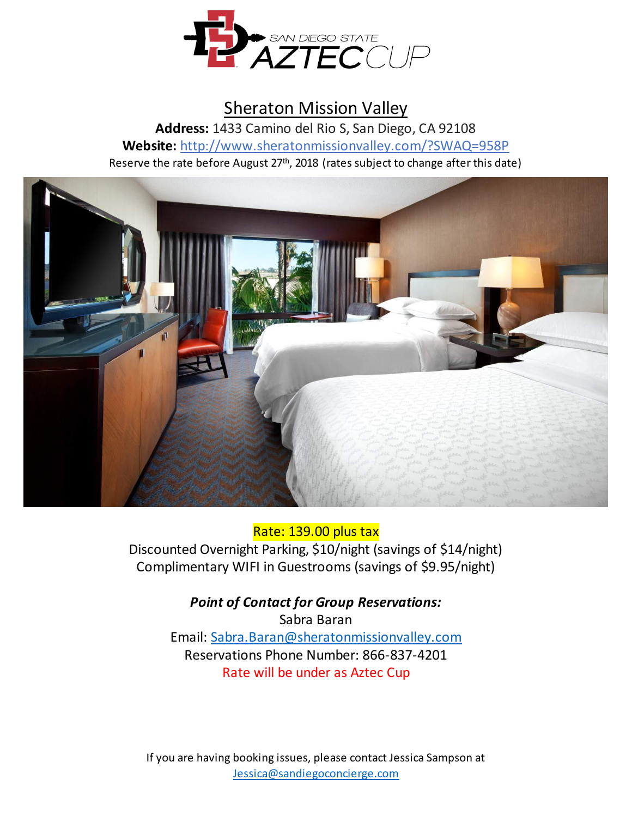

## Sheraton Mission Valley

**Address:** 1433 Camino del Rio S, San Diego, CA 92108 **Website:** <http://www.sheratonmissionvalley.com/?SWAQ=958P> Reserve the rate before August 27<sup>th</sup>, 2018 (rates subject to change after this date)



#### Rate: 139.00 plus tax

Discounted Overnight Parking, \$10/night (savings of \$14/night) Complimentary WIFI in Guestrooms (savings of \$9.95/night)

> *Point of Contact for Group Reservations:* Sabra Baran Email: [Sabra.Baran@sheratonmissionvalley.com](mailto:Sabra.Baran@sheratonmissionvalley.com) Reservations Phone Number: 866-837-4201 Rate will be under as Aztec Cup

If you are having booking issues, please contact Jessica Sampson at [Jessica@sandiegoconcierge.com](mailto:Jessica@sandiegoconcierge.com)